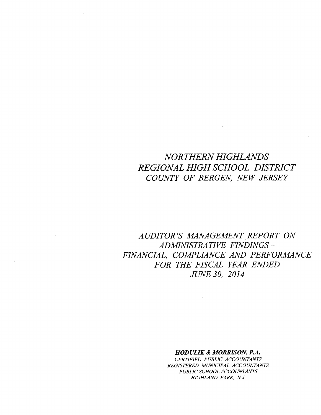# *NORTHERN HIGHLANDS REGIONAL HIGH SCHOOL DISTRICT COUNTY OF BERGEN, NEW JERSEY*

 $\label{eq:2} \mathcal{L}_{\mathbf{A}}(\mathbf{y}) = \mathcal{L}_{\mathbf{A}}(\mathbf{y}) \mathcal{L}_{\mathbf{A}}(\mathbf{y})$ 

 $\sim$ 

 $\mathbf{z}$  .

*AUDITOR'S MANAGEMENT REPORT ON ADMINISTRATIVE FINDINGS-FINANCIAL, COMPLIANCE AND PERFORMANCE*  $FOR$  *THE FISCAL YEAR ENDED JUNE 30, 2014*

 $\mathcal{L}(\mathcal{L}^{\mathcal{L}})$  . The set of  $\mathcal{L}^{\mathcal{L}}$ 

# *HODULIK* & *MORRISON, P.A.*

*CERTIFIED PUBLIC ACCOUNTANTS REGISTERED MUNICIPAL ACCOUNTANTS PUBLIC SCHOOL ACCOUNTANTS HIGHLAND PARK, N.J.*

 $\langle \phi_1 \rangle = \langle \phi_1 \rangle$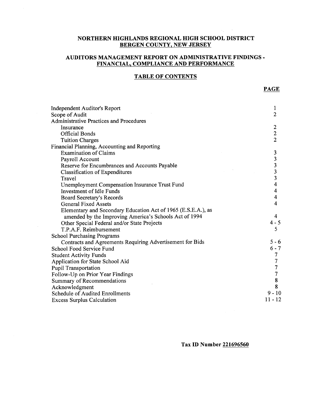# **NORTHERN HIGHLANDS REGIONAL HIGH SCHOOL DISTRICT BERGEN COUNTY, NEW JERSEY**

# **AUDITORS MANAGEMENT REPORT ON ADMINISTRATIVE FINDINGS - FINANCIAL, COMPLIANCE AND PERFORMANCE**

# **TABLE OF CONTENTS**

| Independent Auditor's Report                                  | 1                       |
|---------------------------------------------------------------|-------------------------|
| Scope of Audit                                                | $\overline{2}$          |
| <b>Administrative Practices and Procedures</b>                |                         |
| Insurance                                                     | 2                       |
| <b>Official Bonds</b>                                         | $\overline{c}$          |
| <b>Tuition Charges</b>                                        | $\overline{2}$          |
| Financial Planning, Accounting and Reporting                  |                         |
| <b>Examination of Claims</b>                                  | 3                       |
| Payroll Account                                               | $\frac{3}{3}$           |
| Reserve for Encumbrances and Accounts Payable                 |                         |
| Classification of Expenditures                                | 3                       |
| Travel                                                        | $\overline{\mathbf{3}}$ |
| Unemployment Compensation Insurance Trust Fund                | 4                       |
| <b>Investment of Idle Funds</b>                               | $\overline{\mathbf{4}}$ |
| Board Secretary's Records                                     | 4                       |
| <b>General Fixed Assets</b>                                   | 4                       |
| Elementary and Secondary Education Act of 1965 (E.S.E.A.), as |                         |
| amended by the Improving America's Schools Act of 1994        | 4                       |
| Other Special Federal and/or State Projects                   | $4 - 5$                 |
| T.P.A.F. Reimbursement                                        | 5                       |
| <b>School Purchasing Programs</b>                             |                         |
| Contracts and Agreements Requiring Advertisement for Bids     | $5 - 6$                 |
| School Food Service Fund                                      | $6 - 7$                 |
| <b>Student Activity Funds</b>                                 | 7                       |
| Application for State School Aid                              | 7                       |
| <b>Pupil Transportation</b>                                   | $\overline{7}$          |
| Follow-Up on Prior Year Findings                              | $\boldsymbol{7}$        |
| Summary of Recommendations                                    | $\bf 8$                 |
| Acknowledgment                                                | 8                       |
| <b>Schedule of Audited Enrollments</b>                        | $9 - 10$                |
| <b>Excess Surplus Calculation</b>                             | $11 - 12$               |
|                                                               |                         |

 $\sim$ 

**Tax ID Number 221696560**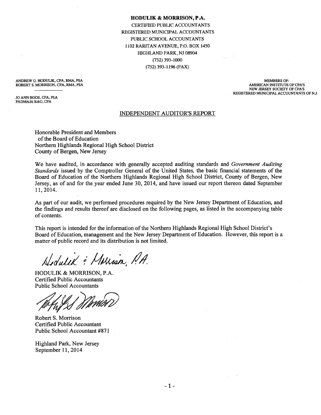#### **HODULIK & MORRISON, P.A.**

CERTIFIED PUBLIC ACCOUNTANTS REGISTERED MUNICIPAL ACCOUNTANTS PUBLIC SCHOOL ACCOUNTANTS 1102 RARITAN AVENUE, P.O. BOX 1450 HIGHLAND PARK, NJ 08904 (732) 393-1000 (732) 393-1196 (FAX)

ANDREW G. HODULIK, CPA, RMA, PSA ROBERT S. MORRISON, CPA, RMA, PSA

JO ANN BOOS, CPA, PSA PADMAJA RAO, CPA

MEMBERS OF: AMERICAN INSTITUTE OF CPA'S NEW JERSEY SOCIEIY OF CPA'S REGISTERED MUNICIPAL ACCOUNTANTS OF N.J.

## INDEPENDENT AUDITOR'S REPORT

Honorable President and Members of the Board of Education Northern Highlands Regional High School District County of Bergen, New Jersey

We have audited, in accordance with generally accepted auditing standards and *Government Auditing Standards* issued by the Comptroller General of the United States, the basic financial statements of the Board of Education of the Northern Highlands Regional High School District, County of Bergen, New Jersey, as of and for the year ended June 30, 2014, and have issued our report thereon dated September 11,2014.

As part of our audit, we performed procedures required by the New Jersey Department of Education, and the findings and results thereof are disclosed on the following pages, as listed in the accompanying table of contents.

This report is intended for the information of the Northern Highlands Regional High School District's Board of Education, management and the New Jersey Department of Education. However, this report is a matter of public record and its distribution is not limited.

Hodulik : Marian, P.A.

HODULIK & MORRISON, P.A. Certified Public Accountants Public School Accountants

Robert S. Morrison Certified Public Accountant Public School Accountant #871

Highland Park, New Jersey September 11,2014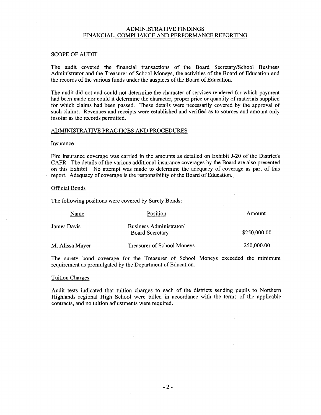# ADMINISTRATIVE FINDINGS FINANCIAL, COMPLIANCE AND PERFORMANCE REPORTING

#### SCOPE OF AUDIT

The audit covered the financial transactions of the Board Secretary/School Business Administrator and the Treasurer of School Moneys, the activities of the Board of Education and the records of the various funds under the auspices of the Board of Education.

The audit did not and could not determine the character of services rendered for which payment had been made nor could it determine the character, proper price or quantity of materials supplied for which claims had been passed. These details were necessarily covered by the approval of such claims. Revenues and receipts were established and verified as to sources and amount only insofar as the records permitted.

#### ADMINISTRATIVE PRACTICES AND PROCEDURES

## **Insurance**

Fire insurance coverage was carried in the amounts as detailed on Exhibit J-20 of the District's CAFR. The details of the various additional insurance coverages by the Board are also presented on this Exhibit. No attempt was made to determine the adequacy of coverage as part of this report. Adequacy of coverage is the responsibility of the Board of Education.

 $\mathbb{R}^{\mathbb{Z}}$ 

 $\mathcal{L}_{\mathcal{L}}$ 

#### Official Bonds

The following positions were covered by Surety Bonds:

| Name            | Position                                          | Amount       |
|-----------------|---------------------------------------------------|--------------|
| James Davis     | Business Administrator/<br><b>Board Secretary</b> | \$250,000.00 |
| M. Alissa Mayer | <b>Treasurer of School Moneys</b>                 | 250,000.00   |

The surety bond coverage for the Treasurer of School Moneys exceeded the minimum requirement as promulgated by the Department of Education.

# Tuition Charges

Audit tests indicated that tuition charges to each of the districts sending pupils to Northern Highlands regional High School were billed in accordance with the terms of the applicable contracts, and no tuition adjustments were required.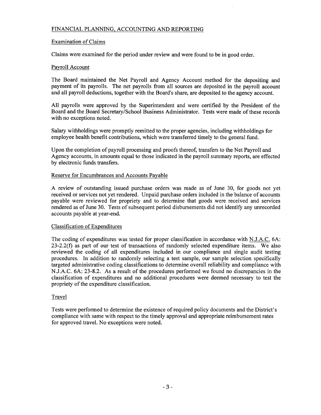# FINANCIAL PLANNING, ACCOUNTING AND REPORTING

# Examination of Claims

Claims were examined for the period under review and were found to be in good order.

## Payroll Account

The Board maintained the Net Payroll and Agency Account method for the depositing and payment of its payrolls. The net payrolls from all sources are deposited in the payroll account and all payroll deductions, together with the Board's share, are deposited to the agency account.

All payrolls were approved by the Superintendent and were certified by the President of the Board and the Board Secretary/School Business Administrator. Tests were made of these records with no exceptions noted.

Salary withholdings were promptly remitted to the proper agencies, including withholdings for employee health benefit contributions, which were transferred timely to the general fund.

Upon the completion of payroll processing and proofs thereof, transfers to the Net Payroll and Agency accounts, in amounts equal to those indicated in the payroll summary reports, are effected by electronic funds transfers.

## Reserve for Encumbrances and Accounts Payable

A review of outstanding issued purchase orders was made as of June 30, for goods not yet received or services not yet rendered. Unpaid purchase orders included in the balance of accounts payable were reviewed for propriety and to determine that goods were received and services rendered as of June 30. Tests of subsequent period disbursements did not identify any unrecorded accounts payable at year-end.

# Classification of Expenditures

The coding of expenditures was tested for proper classification in accordance with N.J.A.C. 6A:  $23-2.2(f)$  as part of our test of transactions of randomly selected expenditure items. We also reviewed the coding of all expenditures included in our compliance and single audit testing procedures. In addition to randomly selecting a test sample, our sample selection specifically targeted administrative coding classifications to determine overall reliability and compliance with N.J.A.C. 6A: 23-8.2. As a result of the procedures performed we found no discrepancies in the classification of expenditures and no additional procedures were deemed necessary to test the propriety of the expenditure classification.

## Travel

Tests were performed to determine the existence of required policy documents and the District's compliance with same with respect to the timely approval and appropriate reimbursement rates for approved travel. No exceptions were noted.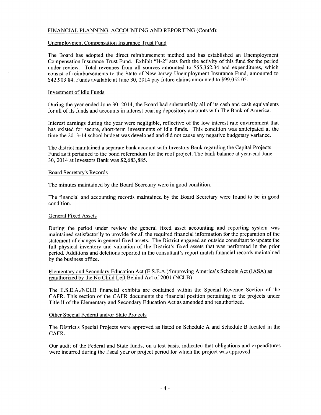# FINANCIAL PLANNING, ACCOUNTING AND REPORTING (Cont'd):

# Unemployment Compensation Insurance Trust Fund

The Board has adopted the direct reimbursement method and has established an Unemployment Compensation Insurance Trust Fund. Exhibit "H-2" sets forth the activity of this fund for the period under review. Total revenues from all sources amounted to \$55,362.34 and expenditures, which consist of reimbursements to the State of New Jersey Unemployment Insurance Fund, amounted to \$42,903.84. Funds available at June 30, 2014 pay future claims amounted to \$99,052.05.

# Investment of Idle Funds

During the year ended June 30, 2014, the Board had substantially all of its cash and cash equivalents for all of its funds and accounts in interest bearing depository accounts with The Bank of America.

Interest earnings during the year were negligible, reflective of the low interest rate environment that has existed for secure, short-term investments of idle funds. This condition was anticipated at the time the 2013-14 school budget was developed and did not cause any negative budgetary variance.

The district maintained a separate bank account with Investors Bank regarding the Capital Projects Fund as it pertained to the bond referendum for the roof project. The bank balance at year-end June 30,2014 at Investors Bank was \$2,683,885.

#### Board Secretary's Records

The minutes maintained by the Board Secretary were in good condition.

The financial and accounting records maintained by the Board Secretary were found to be in good condition.

#### General Fixed Assets

During the period under review the general fixed asset accounting and reporting system was maintained satisfactorily to provide for all the required financial information for the preparation of the statement of changes in general fixed assets. The District engaged an outside consultant to update the full physical inventory and valuation of the District's fixed assets that was performed in the prior period. Additions and deletions reported in the consultant's report match financial records maintained by the business office.

# Elementary and Secondary Education Act (E.S.E.A.)lImproving America's Schools Act (IASA) as reauthorized by the No Child Left Behind Act of 2001 (NCLB)

The E.S.E.A./NCLB financial exhibits are contained within the Special Revenue Section of the CAFR. This section of the CAFR documents the financial position pertaining to the projects under Title II of the Elementary and Secondary Education Act as amended and reauthorized.

## Other Special Federal and/or State Projects

The District's Special Projects were approved as listed on Schedule A and Schedule B located in the CAFR.

Our audit of the Federal and State funds, on a test basis, indicated that obligations and expenditures were incurred during the fiscal year or project period for which the project was approved.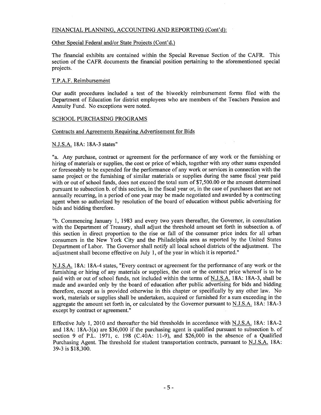# FINANCIAL PLANNING, ACCOUNTING AND REPORTING (Cont'd):

# Other Special Federal and/or State Projects (Cont'd.)

The financial exhibits are contained within the Special Revenue Section of the CAFR. This section of the CAFR documents the financial position pertaining to the aforementioned special projects.

# T.P.A.F. Reimbursement

Our audit procedures included a test of the biweekly reimbursement forms filed with the Department of Education for district employees who are members of the Teachers Pension and Annuity Fund. No exceptions were noted.

# SCHOOL PURCHASING PROGRAMS

# Contracts and Agreements Requiring Advertisement for Bids

# N.J.S.A. 18A: 18A-3 states"

"a. Any purchase, contract or agreement for the performance of any work or the furnishing or hiring of materials or supplies, the cost or price of which, together with any other sums expended or foreseeably to be expended for the performance of any work or services in connection with the same project or the furnishing of similar materials or supplies during the same fiscal year paid with or out of school funds, does not exceed the total sum of \$7,500.00 or the amount determined pursuant to subsection b. of this section, in the fiscal year or, in the case of purchases that are not annually recurring, in a period of one year may be made negotiated and awarded by a contracting agent when so authorized by resolution of the board of education without public advertising for bids and bidding therefore.

"b. Commencing January 1, 1983 and every two years thereafter, the Governor, in consultation with the Department of Treasury, shall adjust the threshold amount set forth in subsection a. of this section in direct proportion to the rise or fall of the consumer price index for all urban consumers in the New York City and the Philadelphia area as reported by the United States Department of Labor. The Governor shall notify all local school districts of the adjustment. The adjustment shall become effective on July 1, of the year in which it is reported."

N.J.S.A. 18A: 18A-4 states, "Every contract or agreement for the performance of any work or the furnishing or hiring of any materials or supplies, the cost or the contract price whereof is to be paid with or out of school funds, not included within the terms of N.J.S.A. 18A: 18A-3, shall be made and awarded only by the board of education after public advertising for bids and bidding therefore, except as is provided otherwise in this chapter or specifically by any other law. No work, materials or supplies shall be undertaken, acquired or furnished for a sum exceeding in the aggregate the amount set forth in, or calculated by the Governor pursuant to NJ.S.A. 18A: l8A-3 except by contract or agreement."

Effective July 1, 2010 and thereafter the bid thresholds in accordance with N.J.S.A. 18A: 18A-2 and 18A: 18A-3(a) are \$36,000 if the purchasing agent is qualified pursuant to subsection b. of section 9 of P.L. 1971, c. 198 (C.40A: 11-9), and \$26,000 in the absence of a Qualified Purchasing Agent. The threshold for student transportation contracts, pursuant to NJ.S.A. 18A: 39-3 is \$18,300.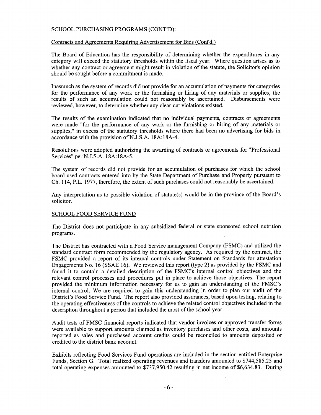# SCHOOL PURCHASING PROGRAMS (CONT'D):

# Contracts and Agreements Requiring Advertisement for Bids (Cont'd.)

The Board of Education has the responsibility of determining whether the expenditures in any category will exceed the statutory thresholds within the fiscal year. Where question arises as to whether any contract or agreement might result in violation of the statute, the Solicitor's opinion should be sought before a commitment is made.

Inasmuch as the system of records did not provide for an accumulation of payments for categories for the performance of any work or the furnishing or hiring of any materials or supplies, the results of such an accumulation could not reasonably be ascertained. Disbursements were reviewed, however, to determine whether any clear-cut violations existed.

The results of the examination indicated that no individual payments, contracts or agreements were made "for the performance of any work or the furnishing or hiring of any materials or supplies," in excess of the statutory thresholds where there had been no advertising for bids in accordance with the provision of N.J.S.A. 18A:18A-4.

Resolutions were adopted authorizing the awarding of contracts or agreements for "Professional Services" per N.J.S.A. 18A:18A-5.

The system of records did not provide for an accumulation of purchases for which the school board used contracts entered into by the State Department of Purchase and Property pursuant to Ch. 114, P.L. 1977, therefore, the extent of such purchases could not reasonably be ascertained.

Any interpretation as to possible violation of statute(s) would be in the province of the Board's solicitor.

# SCHOOL FOOD SERVICE FUND

The District does not participate in any subsidized federal or state sponsored school nutrition programs.

The District has contracted with a Food Service management Company (FSMC) and utilized the standard contract form recommended by the regulatory agency. As required by the contract, the FSMC provided a report of its internal controls under Statement on Standards for attestation Engagements No. 16 (SSAE 16). We reviewed this report (type 2) as provided by the FSMC and found it to contain a detailed description of the FSMC's internal control objectives and the relevant control processes and procedures put in place to achieve those objectives. The report provided the minimum information necessary for us to gain an understanding of the FMSC's internal control. We are required to gain this understanding in order to plan our audit of the District's Food Service Fund. The report also provided assurances, based upon testing, relating to the operating effectiveness of the controls to achieve the related control objectives included in the description throughout a period that included the most of the school year.

Audit tests of FMSC financial reports indicated that vendor invoices or approved transfer forms were available to support amounts claimed as inventory purchases and other costs, and amounts reported as sales and purchased account credits could be reconciled to amounts deposited or credited to the district bank account.

Exhibits reflecting Food Services Fund operations are included in the section entitled Enterprise Funds, Section G. Total realized operating revenues and transfers amounted to \$744,585.25 and total operating expenses amounted to \$737,950.42 resulting in net income of \$6,634.83. During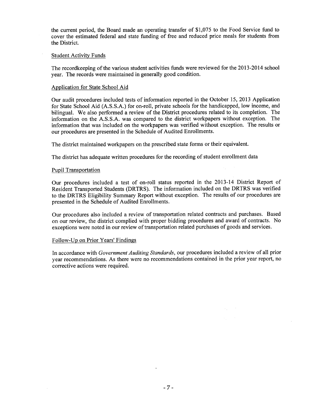the current period, the Board made an operating transfer of \$1,075 to the Food Service fund to cover the estimated federal and state funding of free and reduced price meals for students from the District.

# Student Activity Funds

The recordkeeping of the various student activities funds were reviewed for the 2013-2014 school year. The records were maintained in generally good condition.

# Application for State School Aid

Our audit procedures included tests of information reported in the October 15, 2013 Application for State School Aid (A.S.S.A.) for on-roll, private schools for the handicapped, low income, and bilingual. We also performed a review of the District procedures related to its completion. The information on the A.S.S.A. was compared to the district workpapers without exception. The information that was included on the workpapers was verified without exception. The results or our procedures are presented in the Schedule of Audited Enrollments.

The district maintained workpapers on the prescribed state forms or their equivalent.

The district has adequate written procedures for the recording of student enrollment data

## Pupil Transportation

Our procedures included a test of on-roll status reported in the 2013-14 District Report of Resident Transported Students (DRTRS). The information included on the DRTRS was verified to the DRTRS Eligibility Summary Report without exception. The results of our procedures are presented in the Schedule of Audited Enrollments.

Our procedures also included a review of transportation related contracts and purchases. Based on our review, the district complied with proper bidding procedures and award of contracts. No exceptions were noted in our review of transportation related purchases of goods and services.

# Follow-Up on Prior Years' Findings

In accordance with *Government Auditing Standards,* our procedures included a review of all prior year recommendations. As there were no recommendations contained in the prior year report, no corrective actions were required.

 $\sim$   $\sim$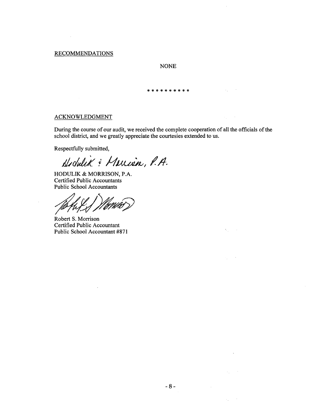# RECOMMENDATIONS

 $\sim$   $\sim$ 

# NONE

\*\*\*\*\*\*\*\*\*\*

 $\langle \sigma_{\rm L} \rangle = 0$ 

 $\langle \phi_4 \rangle = 0$  .

 $\Delta_{\rm{H}}=0.5$ 

 $\mathcal{L}_{\text{max}}$  and  $\mathcal{L}_{\text{max}}$ 

 $\mathcal{F}_{\rm{in}}$  .

 $\sim 10$ 

## ACKNOWLEDGMENT

During the course of our audit, we received the complete cooperation of all the officials of the school district, and we greatly appreciate the courtesies extended to us.

Respectfully submitted,

Hobulik: Marian, P.A.

HODULIK & MORRISON, P.A. Certified Public Accountants Public School Accountants

 $\nu_f$ 

Robert S. Morrison Certified Public Accountant Public School Accountant #871

 $\sim$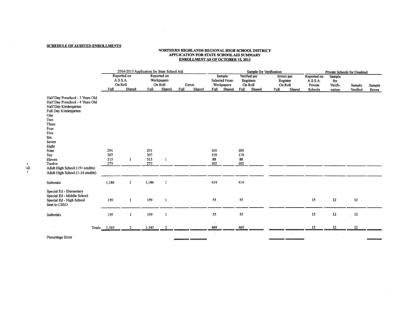#### SCHEDULE OF AUDITED ENROLLMENTS

#### NORTHERN mGHLANDS REGIONAL mGH SCHOOL DISTRICT APPLICATION FOR STATE SCHOOL AID SUMMARY ENROLLMENT AS OF OCTOBER 15. 2013

 $\mathcal{L}(\mathcal{A})$  and  $\mathcal{L}(\mathcal{A})$  . The contract of  $\mathcal{L}(\mathcal{A})$ 

|                                                                                                                                                                                                                                                                                                  | 2014-2015 Application for State School Aid |                       |                          |                                                |                          |                                                                | Sample for Verification                                |                                                     | Private Schools for Disabled                  |                                    |                    |                  |
|--------------------------------------------------------------------------------------------------------------------------------------------------------------------------------------------------------------------------------------------------------------------------------------------------|--------------------------------------------|-----------------------|--------------------------|------------------------------------------------|--------------------------|----------------------------------------------------------------|--------------------------------------------------------|-----------------------------------------------------|-----------------------------------------------|------------------------------------|--------------------|------------------|
|                                                                                                                                                                                                                                                                                                  | A.S.S.A.<br>On Roll<br>Full                | Reported on<br>Shared | Full                     | Reported on<br>Workpapers<br>On Roll<br>Shared | Errors<br>Full<br>Shared | Sample<br><b>Selected From</b><br>Workpapers<br>Shared<br>Full | Verified per<br>Registers<br>On Roll<br>Shared<br>Full | Errors per<br>Register<br>On Roll<br>Full<br>Shared | Reported on<br>A.S.S.A.<br>Private<br>Schools | Sample<br>for<br>Verifi-<br>cation | Sample<br>Verified | Sample<br>Errors |
| Half Day Preschool - 3 Years Old<br>Half Day Preschool - 4 Years Old<br>Half Day Kindergarten<br>Full Day Kindergarten<br>One<br>Two<br>Three<br>Four<br>Five<br>Six<br>Seven<br>Eight<br>Nine<br>Ten<br>Eleven<br>Twelve<br>Adult High School (15+ credits)<br>Adult High School (1-14 credits) | 291<br>307<br>315<br>273                   | 1                     | 291<br>307<br>315<br>273 | 1                                              |                          | 105<br>119<br>88<br>102                                        | 105<br>119<br>88<br>102                                |                                                     |                                               |                                    |                    |                  |
| Subtotals                                                                                                                                                                                                                                                                                        | 1,186                                      | 1                     | 1,186                    | $\mathbf{1}$                                   |                          | 414                                                            | 414                                                    |                                                     |                                               |                                    |                    |                  |
| Special Ed - Elementary<br>Special Ed - Middle School<br>Special Ed - High School<br>Sent to CSSD                                                                                                                                                                                                | 159                                        | $\mathbf{1}$          | 159                      | -1                                             |                          | 55                                                             | 55                                                     |                                                     | 15                                            | 12                                 | 12                 |                  |
| Subtotals                                                                                                                                                                                                                                                                                        | 159                                        | 1                     | 159                      | $\mathbf{1}$                                   |                          | 55                                                             | 55                                                     |                                                     | 15                                            | $12\,$                             | 12                 |                  |
|                                                                                                                                                                                                                                                                                                  | Totals 1,345                               |                       | 1,345                    |                                                |                          | $\sim$<br>469                                                  | 469                                                    |                                                     | 15                                            | 12                                 | 12                 |                  |
| Percentage Error                                                                                                                                                                                                                                                                                 |                                            |                       |                          |                                                |                          |                                                                |                                                        |                                                     |                                               |                                    |                    |                  |

 $\sim 10^7$ 

 $\sim 10^7$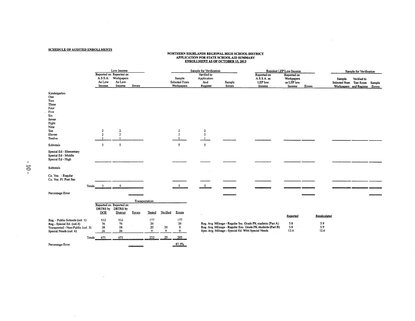#### SCHEDULE OF AUDITED ENROLLMENTS

 $\label{eq:2.1} \frac{1}{2} \int_{\mathbb{R}^3} \left| \frac{d\mu}{d\mu} \right| \, d\mu = \frac{1}{2} \int_{\mathbb{R}^3} \left| \frac{d\mu}{d\mu} \right| \, d\mu = \frac{1}{2} \int_{\mathbb{R}^3} \left| \frac{d\mu}{d\mu} \right| \, d\mu$ 

 $\mathcal{L}(\mathcal{L}(\mathcal{L}(\mathcal{L}(\mathcal{L}(\mathcal{L}(\mathcal{L}(\mathcal{L}(\mathcal{L}(\mathcal{L}(\mathcal{L}(\mathcal{L}(\mathcal{L}(\mathcal{L}(\mathcal{L}(\mathcal{L}(\mathcal{L}(\mathcal{L}(\mathcal{L}(\mathcal{L}(\mathcal{L}(\mathcal{L}(\mathcal{L}(\mathcal{L}(\mathcal{L}(\mathcal{L}(\mathcal{L}(\mathcal{L}(\mathcal{L}(\mathcal{L}(\mathcal{L}(\mathcal{L}(\mathcal{L}(\mathcal{L}(\mathcal{L}(\mathcal{L}(\mathcal{$ 

 $\sim 10^7$ 

# NORTHERN HIGHLANDS REGIONAL HIGH SCHOOL DISTRICTION FOR STATE SCHOOL AID SUMMARY<br>ENROLLMENT AS OF OCTOBER 15, 2013

 $\mathcal{L}^{\text{max}}_{\text{max}}$  and  $\mathcal{L}^{\text{max}}_{\text{max}}$ 

 $\sim 10^7$ 

|                                                                                                                            |                                                                                                     | Low Income                                                |                |                      |          |                                       | Sample for Verification                       |                                                    |                                                                                                                            | Resident LEP Low Income                           |                                    |        | Sample for Verification                                                   |        |
|----------------------------------------------------------------------------------------------------------------------------|-----------------------------------------------------------------------------------------------------|-----------------------------------------------------------|----------------|----------------------|----------|---------------------------------------|-----------------------------------------------|----------------------------------------------------|----------------------------------------------------------------------------------------------------------------------------|---------------------------------------------------|------------------------------------|--------|---------------------------------------------------------------------------|--------|
|                                                                                                                            | A.S.S.A.<br>As Low<br>Income                                                                        | Reported on Reported on<br>Workpapers<br>As Low<br>Income | Errors         |                      |          | Sample<br>Selected From<br>Workpapers | Verified to<br>Application<br>And<br>Register | Sample<br>Errors                                   | Reported on<br>A.S.S.A. as<br>LEP low<br>Income                                                                            | Reported on<br>Workpapers<br>as LEP low<br>Income | Errors                             | Sample | Verified to<br>Selected from Test Score<br>Workpapers and Register Errors | Sample |
| Kindergarten<br>One<br>Two<br>Three<br>Four<br>Five<br>Six<br>Seven<br>Eight<br>Nine<br>Ten<br>Eleven                      | $\boldsymbol{2}$<br>$\mathbf{2}% =\mathbf{1}_{B}\left( \mathbf{1}_{B}\right) ^{\ast}\mathbf{1}_{B}$ | 2<br>$\overline{2}$                                       |                |                      |          | $\overline{2}$<br>$\overline{z}$      | $\boldsymbol{2}$<br>$\overline{c}$            |                                                    |                                                                                                                            |                                                   |                                    |        |                                                                           |        |
| Twelve                                                                                                                     |                                                                                                     | $\mathbf{1}$                                              |                |                      |          |                                       |                                               |                                                    |                                                                                                                            |                                                   |                                    |        |                                                                           |        |
| Subtotals                                                                                                                  | 5                                                                                                   | 5                                                         |                |                      |          | 5                                     | $\overline{5}$                                |                                                    |                                                                                                                            |                                                   |                                    |        |                                                                           |        |
| Special Ed - Elementary<br>Special Ed - Middle<br>Special Ed - High                                                        |                                                                                                     |                                                           |                |                      |          |                                       |                                               |                                                    |                                                                                                                            |                                                   |                                    |        |                                                                           |        |
| Subtotals                                                                                                                  |                                                                                                     |                                                           |                |                      |          |                                       |                                               |                                                    |                                                                                                                            |                                                   |                                    |        |                                                                           |        |
| Co. Voc. - Regular<br>Co. Voc. Ft. Post Sec                                                                                |                                                                                                     |                                                           |                |                      |          |                                       |                                               |                                                    |                                                                                                                            |                                                   |                                    |        |                                                                           |        |
| Totals                                                                                                                     | -5                                                                                                  | 5                                                         |                |                      |          |                                       | $\sim$                                        |                                                    |                                                                                                                            |                                                   |                                    |        |                                                                           |        |
| Percentage Error                                                                                                           |                                                                                                     |                                                           |                |                      |          |                                       |                                               |                                                    |                                                                                                                            |                                                   |                                    |        |                                                                           |        |
|                                                                                                                            |                                                                                                     |                                                           | Transportation |                      |          |                                       |                                               |                                                    |                                                                                                                            |                                                   |                                    |        |                                                                           |        |
|                                                                                                                            | <b>DOE</b>                                                                                          | Reported on Reported on<br>DRTRS by DRTRS by<br>District  | Errors         | Tested               | Verified | Errors                                | k.                                            |                                                    |                                                                                                                            |                                                   |                                    |        |                                                                           |        |
| Reg. - Public Schools (col. 1)<br>Reg - Special Ed. (col.4)<br>Transported - Non-Public (col. 3)<br>Special Needs (col. 6) | 512<br>76<br>58<br>26                                                                               | 512<br>76<br>58<br>26                                     |                | 177<br>26<br>20<br>9 | 20<br>9  | 177<br>26<br>0<br>$\mathbf 0$         |                                               | Spec Avg. Mileage - Special Ed. With Special Needs | Reg. Avg. Mileage - Regular Inc. Grade PK students (Part A)<br>Reg. Avg. Mileage - Regular Exc. Grade PK students (Part B) | Reported<br>5.8<br>5.8<br>12.6                    | Recalculated<br>5.9<br>5.9<br>12.6 |        |                                                                           |        |
|                                                                                                                            | Totals 671                                                                                          | 671                                                       |                | 232                  | 29       | 203                                   |                                               |                                                    |                                                                                                                            |                                                   |                                    |        |                                                                           |        |
| Percentage Error                                                                                                           |                                                                                                     |                                                           |                |                      |          | 87.5%                                 |                                               |                                                    |                                                                                                                            |                                                   |                                    |        |                                                                           |        |

 $\mathcal{L}^{\text{max}}_{\text{max}}$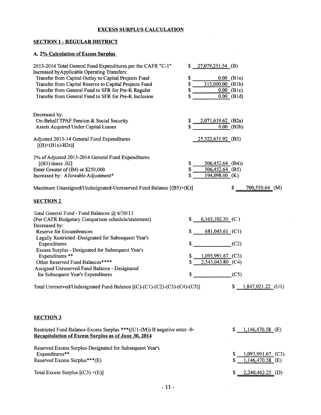# EXCESS SURPLUS CALCULATION

# SECTION 1 - REGULAR DISTRICT

# A. 2% Calculation of Excess Surplus

| 2013-2014 Total General Fund Expenditures per the CAFR "C-1"<br>Increased by Applicable Operating Transfers:<br>Transfer from Capital Outlay to Capital Projects Fund<br>Transfer from Capital Reserve to Capital Projects Fund<br>Transfer from General Fund to SFR for Pre-K Regular<br>Transfer from General Fund to SFR for Pre-K Inclusion                                                                                                                                                                | \$<br>\$<br>\$<br>\$ | $$27,079,251.54$ (B)<br>$0.00$ (Bla)<br>$315,000.00$ (B1b)<br>$0.00$ (B1c)<br>$0.00$ (B1d)            |              |                                         |  |
|----------------------------------------------------------------------------------------------------------------------------------------------------------------------------------------------------------------------------------------------------------------------------------------------------------------------------------------------------------------------------------------------------------------------------------------------------------------------------------------------------------------|----------------------|-------------------------------------------------------------------------------------------------------|--------------|-----------------------------------------|--|
| Decreased by:<br>On-Behalf TPAF Pension & Social Security<br>Assets Acquired Under Capital Leases                                                                                                                                                                                                                                                                                                                                                                                                              |                      | 2,071,619.62 (B2a)<br>$0.00$ (B2b)                                                                    |              |                                         |  |
| Adjusted 2013-14 General Fund Expenditures<br>$[(B)+(B1s)-B2s)]$                                                                                                                                                                                                                                                                                                                                                                                                                                               |                      | 25,322,631.92 (B3)                                                                                    |              |                                         |  |
| 2% of Adjusted 2013-2014 General Fund Expenditures<br>[(B3) times .02]<br>Enter Greater of (B4) or \$250,000<br>Increased by: Allowable Adjustment*                                                                                                                                                                                                                                                                                                                                                            | \$<br>\$             | 506,452.64 (B4))<br>506,452.64 (B5)<br>194,098.00 (K)                                                 |              |                                         |  |
| Maximum Unassigned/Undesignated-Unreserved Fund Balance [(B5)+(K)]<br><b>SECTION 2</b>                                                                                                                                                                                                                                                                                                                                                                                                                         |                      |                                                                                                       | \$           | 700,550.64 (M)                          |  |
| Total General Fund - Fund Balances @ 6/30/13<br>(Per CAFR Budgetary Comparison schedule/statement)<br>Decreased by:<br><b>Reserve for Encumbrances</b><br>Legally Restricted -Designated for Subsequent Year's<br>Expenditures<br>Excess Surplus - Designated for Subsequent Year's<br>Expenditures **<br>Other Reserved Fund Balances****<br>Assigned Unreserved Fund Balance - Designated<br>for Subsequent Year's Expenditures<br>Total Unreserved/Undesignated Fund Balance [(C)-(C1)-(C2)-(C3)-(C4)-(C5)] | \$<br>S<br>\$<br>S.  | $6,165,102.30$ (C)<br>$681,045.61$ (C1)<br>$\mathbb{S}$<br>$1,093,991.67$ (C3)<br>$2,543,043.80$ (C4) | (C2)<br>(C5) | $$1,847,021.22$ (U1)                    |  |
| <b>SECTION 3</b><br>Restricted Fund Balance-Excess Surplus ***((U1-(M)) If negative enter -0-<br><b>Recapitulation of Excess Surplus as of June 30, 2014</b>                                                                                                                                                                                                                                                                                                                                                   |                      |                                                                                                       | \$           | $1,146,470.58$ (E)                      |  |
| Reserved Excess Surplus-Designated for Subsequent Year's<br>Expenditures**<br>Reserved Excess Surplus***(E)                                                                                                                                                                                                                                                                                                                                                                                                    |                      |                                                                                                       | S<br>S       | 1,093,991.67 (C3)<br>$1,146,470.58$ (E) |  |

Total Excess Surplus [(C3) +(E)]

*\$ 2,240A62.25* (D)

 $\mathcal{A}_{\mathcal{A}}$ 

 $\hat{\mathcal{A}}$